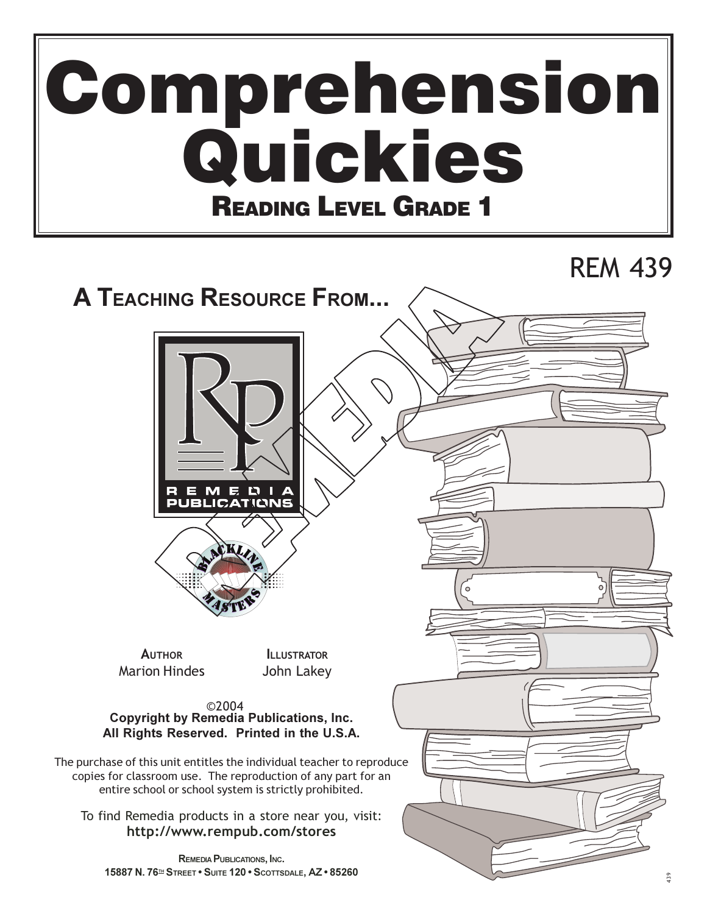# Comprehension Quickies READING LEVEL GRADE 1

# $\overline{P}$

# **A TEACHING RESOURCE FROM...**





**AUTHOP HUINUK**<br>Mantan Hindaa

**LLUSTRATOR ILLUSTRATOR**<br>John Lakey

**Copyright by Remedia Publications, Inc.** All Rights Reserved. Printed in the U.S.A. ©2004

The purchase of this unit entitles the individual teacher to reproduce purchase of this unit entities the murvidual teacher to reprod<br>copies for classroom use. The reproduction of any part for an entire school or school system is strictly prohibited.

To find Remedia products in a store near you, visit: **http://www.rempub.com/stores** 

**REMEDIA PUBLICATIONS, INC. 15887 N. 76<sup>th</sup> STREET . SUITE 120 . SCOTTSDALE, AZ . 85260** 

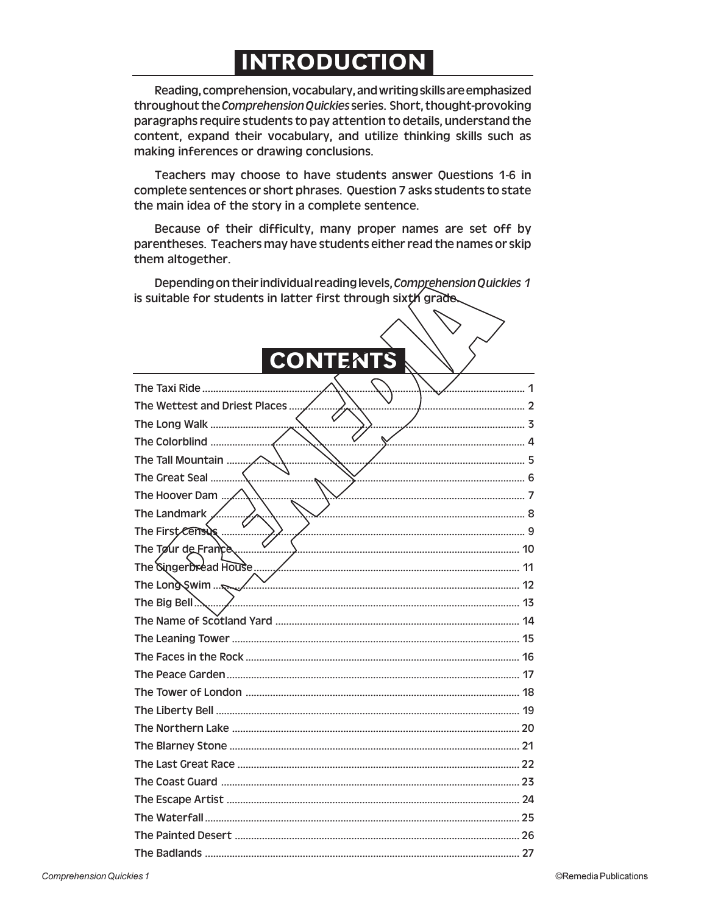### **INTRODUCTION**

Reading, comprehension, vocabulary, and writing skills are emphasized throughout the Comprehension Quickies series. Short, thought-provoking paragraphs require students to pay attention to details, understand the content, expand their vocabulary, and utilize thinking skills such as making inferences or drawing conclusions.

Teachers may choose to have students answer Questions 1-6 in complete sentences or short phrases. Question 7 asks students to state the main idea of the story in a complete sentence.

Because of their difficulty, many proper names are set off by parentheses. Teachers may have students either read the names or skip them altogether.

Depending on their individual reading levels, Comprehension Quickies 1 is suitable for students in latter first through sixth grade.

#### **CONTENTS**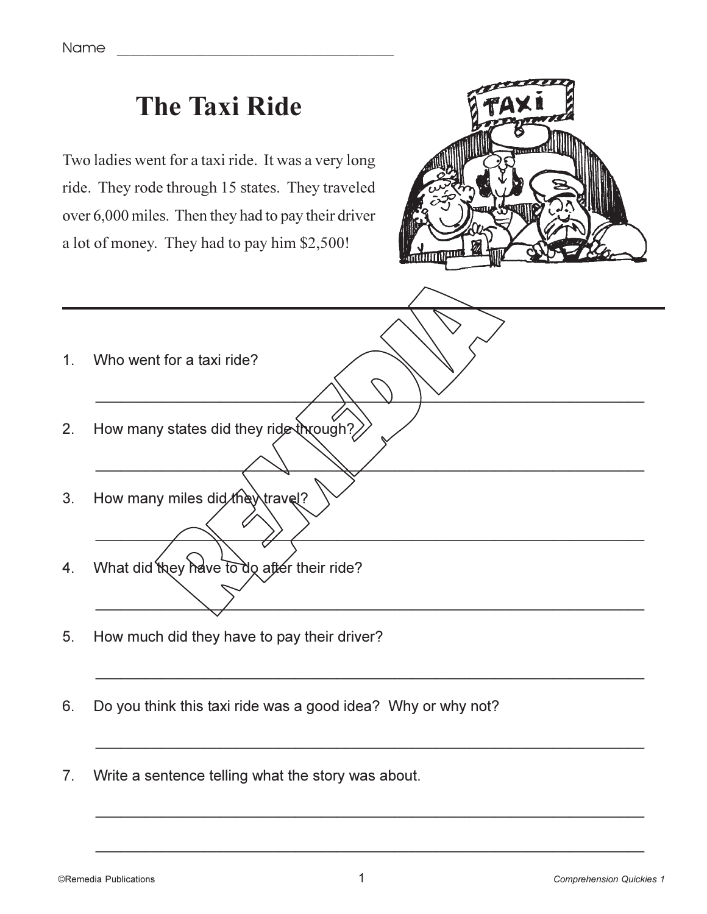# **The Taxi Ride**

Two ladies went for a taxi ride. It was a very long ride. They rode through 15 states. They traveled over 6,000 miles. Then they had to pay their driver a lot of money. They had to pay him \$2,500!



- Who went for a taxi ride?  $\mathbf{1}$
- How many states did they ride through?  $2<sub>1</sub>$
- How many miles did they travel?  $3<sub>1</sub>$
- What did they have to do after their ride?  $4.$
- How much did they have to pay their driver? 5.
- Do you think this taxi ride was a good idea? Why or why not? 6.
- Write a sentence telling what the story was about.  $7<sub>1</sub>$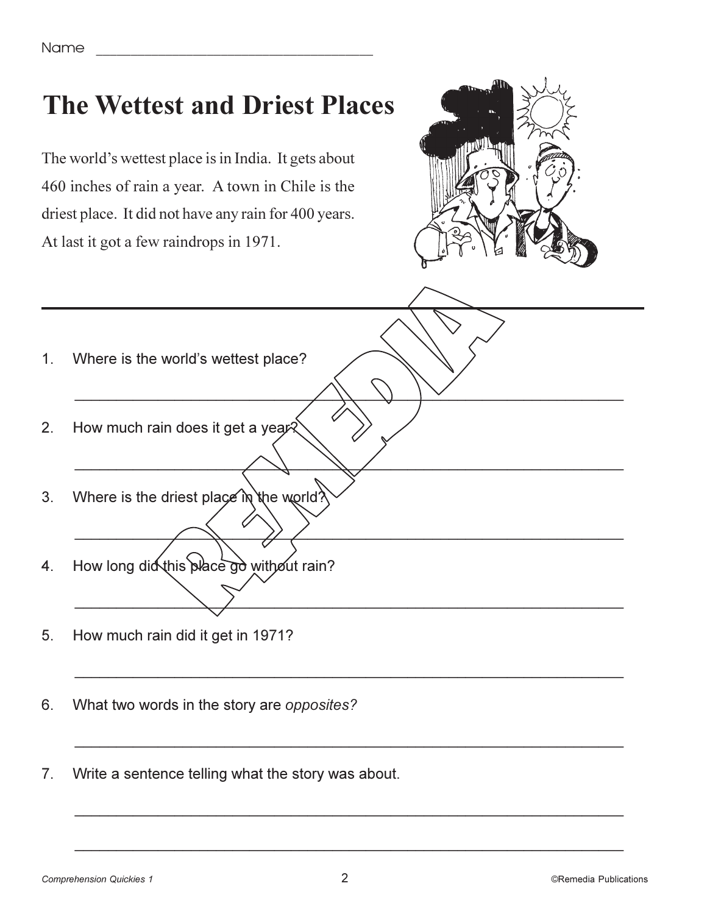Name

## **The Wettest and Driest Places**

The world's wettest place is in India. It gets about 460 inches of rain a year. A town in Chile is the driest place. It did not have any rain for 400 years. At last it got a few raindrops in 1971.



- Where is the world's wettest place?  $1<sup>1</sup>$
- How much rain does it get a year?  $2.$
- Where is the driest place in the world?  $3<sub>l</sub>$
- How long did this place go without rain?  $\overline{4}$ .
- 5. How much rain did it get in 1971?
- What two words in the story are opposites? 6.
- Write a sentence telling what the story was about.  $7<sup>1</sup>$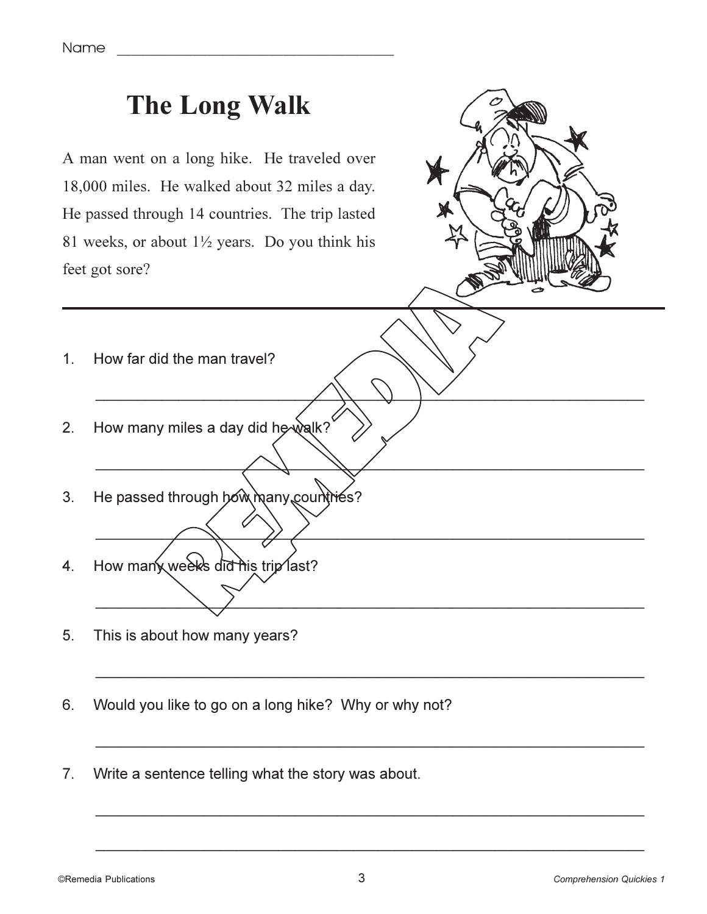# **The Long Walk**

A man went on a long hike. He traveled over 18,000 miles. He walked about 32 miles a day. He passed through 14 countries. The trip lasted 81 weeks, or about  $1\frac{1}{2}$  years. Do you think his feet got sore?



- How far did the man travel?  $1<sup>1</sup>$
- How many miles a day did he walk?  $2.$
- He passed through how many countries?  $3<sup>1</sup>$
- How many weeks did his trip last?  $4.$
- 5. This is about how many years?
- Would you like to go on a long hike? Why or why not? 6.
- Write a sentence telling what the story was about.  $7<sub>1</sub>$